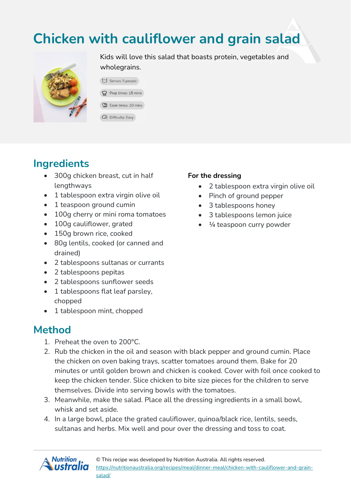# **Chicken with cauliflower and grain salad**



Kids will love this salad that boasts protein, vegetables and wholegrains.

| C Serves: 5 people     |
|------------------------|
| Prep times: 15 mins    |
| 11 Cook times: 20 mins |

 $\omega$  Difficulty: Easy

### **Ingredients**

- 300q chicken breast, cut in half lengthways
- 1 tablespoon extra virgin olive oil
- 1 teaspoon ground cumin
- 100g cherry or mini roma tomatoes
- 100q cauliflower, grated
- 150g brown rice, cooked
- 80g lentils, cooked (or canned and drained)
- 2 tablespoons sultanas or currants
- 2 tablespoons pepitas
- 2 tablespoons sunflower seeds
- 1 tablespoons flat leaf parsley, chopped
- 1 tablespoon mint, chopped

## **Method**

- 1. Preheat the oven to 200°C.
- 2. Rub the chicken in the oil and season with black pepper and ground cumin. Place the chicken on oven baking trays, scatter tomatoes around them. Bake for 20 minutes or until golden brown and chicken is cooked. Cover with foil once cooked to keep the chicken tender. Slice chicken to bite size pieces for the children to serve themselves. Divide into serving bowls with the tomatoes.
- 3. Meanwhile, make the salad. Place all the dressing ingredients in a small bowl, whisk and set aside.
- 4. In a large bowl, place the grated cauliflower, quinoa/black rice, lentils, seeds, sultanas and herbs. Mix well and pour over the dressing and toss to coat.



#### **For the dressing**

- 2 tablespoon extra virgin olive oil
- Pinch of ground pepper
- 3 tablespoons honey
- 3 tablespoons lemon juice
- $\bullet$   $\frac{1}{4}$  teaspoon curry powder